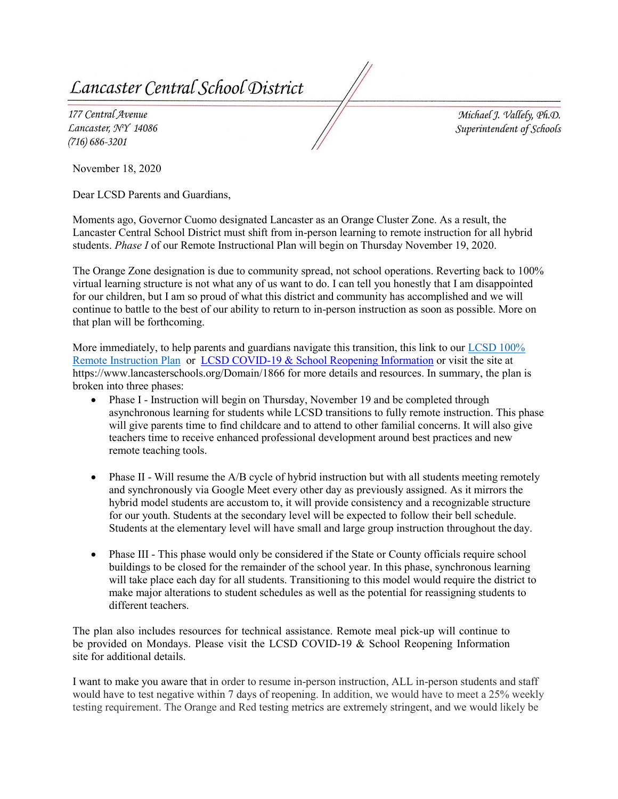*Centra[ Schoo[ <District* 

177 Central Avenue *Lancaster, 'N'Y 14086 (716) 686-3201* 

 $Michael$  *J. Vallely*, *Ph.D. Superintenaent of Scfioo[s* 

November 18, 2020

Dear LCSD Parents and Guardians,

Moments ago, Governor Cuomo designated Lancaster as an Orange Cluster Zone. As a result, the Lancaster Central School District must shift from in-person learning to remote instruction for all hybrid students. *Phase I* of our Remote Instructional Plan will begin on Thursday November 19, 2020.

The Orange Zone designation is due to community spread, not school operations. Reverting back to 100% virtual learning structure is not what any of us want to do. I can tell you honestly that I am disappointed for our children, but I am so proud of what this district and community has accomplished and we will continue to battle to the best of our ability to return to in-person instruction as soon as possible. More on that plan will be forthcoming.

More immediately, to help parents and guardians navigate this transition, this link to our LCSD 100% [Remote Instruction Plan](https://www.lancasterschools.org/cms/lib/NY19000266/Centricity/ModuleInstance/36442/LCSD%20100%20Percent%20%20Remote%20Instruction%202020-2021_%20Family%20Edition_11_18.pdf) or [LCSD COVID-19 & School Reopening Information](https://www.lancasterschools.org/Domain/1866) or visit the site at https://www.lancasterschools.org/Domain/1866 for more details and resources. In summary, the plan is broken into three phases:

- teachers time to receive enhanced professional development around best practices and new • Phase I - Instruction will begin on Thursday, November 19 and be completed through asynchronous learning for students while LCSD transitions to fully remote instruction. This phase will give parents time to find childcare and to attend to other familial concerns. It will also give remote teaching tools.
- Phase II Will resume the A/B cycle of hybrid instruction but with all students meeting remotely and synchronously via Google Meet every other day as previously assigned. As it mirrors the hybrid model students are accustom to, it will provide consistency and a recognizable structure for our youth. Students at the secondary level will be expected to follow their bell schedule. Students at the elementary level will have small and large group instruction throughout the day.
- make major alterations to student schedules as well as the potential for reassigning students to • Phase III - This phase would only be considered if the State or County officials require school buildings to be closed for the remainder of the school year. In this phase, synchronous learning will take place each day for all students. Transitioning to this model would require the district to different teachers.

 be provided on Mondays. Please visit the LCSD COVID-19 & School Reopening Information The plan also includes resources for technical assistance. Remote meal pick-up will continue to site for additional details.

I want to make you aware that in order to resume in-person instruction, ALL in-person students and staff would have to test negative within 7 days of reopening. In addition, we would have to meet a 25% weekly testing requirement. The Orange and Red testing metrics are extremely stringent, and we would likely be